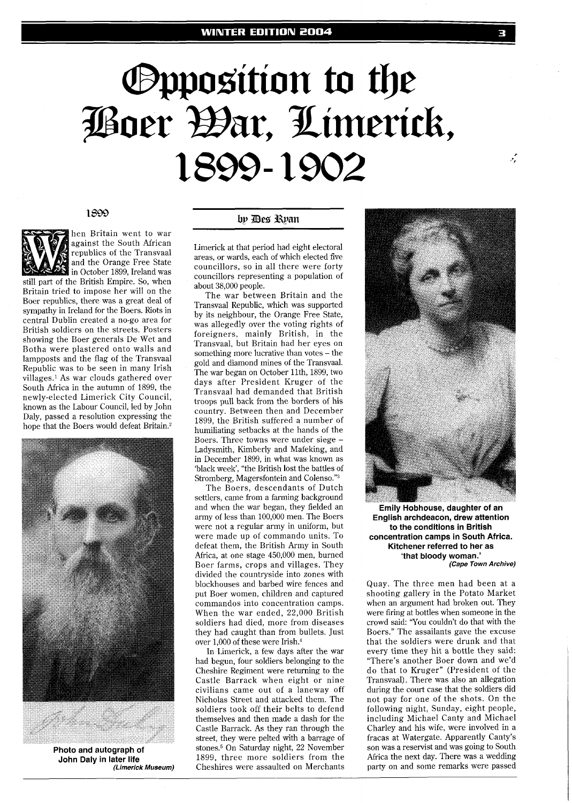# **Opposition to the** Poer Bar, Limerick, 1899-1902

## 1899



hen Britain went to war against the South African republics of the Transvaal and the Orange Free State in October 1899, Ireland was still part of the British Empire. So, when Britain tried to impose her will on the Boer republics, there was a great deal of sympathy in Ireland for the Boers. Riots in central Dublin created a no-go area for British soldiers on the streets. Posters

showing the Boer generals De Wet and Botha were plastered onto walls and lampposts and the flag of the Transvaal Republic was to be seen in many Irish villages.' As war clouds gathered over South Africa in the autumn of 1899, the newly-elected Limerick City Council, known as the Labour Council, led by John Daly, passed a resolution expressing the hope that the Boers would defeat Britain.2



**Photo and autograph of John Daly in later life (Limerick Museum)** 

# by Des Ryan

Limerick at that period had eight electoral areas, or wards, each of which elected five councillors, so in all there were forty councillors representing a population of about 38,000 people.

The war between Britain and the Transvaal Republic, which was supported by its neighbour, the Orange Free State, was allegedly over the voting rights of foreigners, mainly British, in the Transvaal, but Britain had her eyes on something more lucrative than votes - the gold and diamond mines of the Transvaal. The war began on October llth, 1899, two days after President Kruger of the Transvaal had demanded that British troops pull back from the borders of his country. Between then and December 1899, the British suffered a number of humiliating setbacks at the hands of the Boers. Three towns were under siege - Ladysmith, Kimberly and Mafeking, and in December 1899, in what was known as 'black week', "the British lost the battles of Stromberg, Magersfontein and Colenso."3

The Boers, descendants of Dutch settlers, came from a farming background and when the war began, they fielded an army of less than 100,000 men. The Boers were not a regular army in uniform, but were made up of commando units. To defeat them, the British Army in South Africa, at one stage 450,000 men, burned Boer farms, crops and villages. They divided the countryside into zones with blockhouses and barbed wire fences and put Boer women, children and captured commandos into concentration camps. When the war ended, 22,000 British soldiers had died, more from diseases they had caught than from bullets. Just over  $1,000$  of these were Irish. $4$ 

In Limerick, a few days after the war had begun, four soldiers belonging to the Cheshire Regiment were returning to the Castle Barrack when eight or nine civilians came out of a laneway off Nicholas Street and attacked them. The soldiers took off their belts to defend themselves and then made a dash for the Castle Barrack. As they ran through the street, they were pelted with a barrage of stones.5 On Saturday night, 22 November 1899, three more soldiers from the Cheshires were assaulted on Merchants



**Emily Hobhouse, daughter of an English archdeacon, drew attention to the conditions in British concentration camps in South Africa. Kitchener referred to her as 'that bloody woman.' (Cape Town Archive)** 

Quay. The three men had been at a shooting gallery in the Potato Market when an argument had broken out. They were firing at bottles when someone in the crowd said: 'You couldn't do that with the Boers." The assailants gave the excuse that the soldiers were drunk and that every time they hit a bottle they said: "There's another Boer down and we'd do that to Kruger" (President of the Transvaal). There was also an allegation during the court case that the soldiers did not pay for one of the shots. On the following night, Sunday, eight people, including Michael Canty and Michael Charley and his wife, were involved in a fracas at Watergate. Apparently Canty's son was a reservist and was going to South Africa the next day. There was a wedding party on and some remarks were passed

تنبير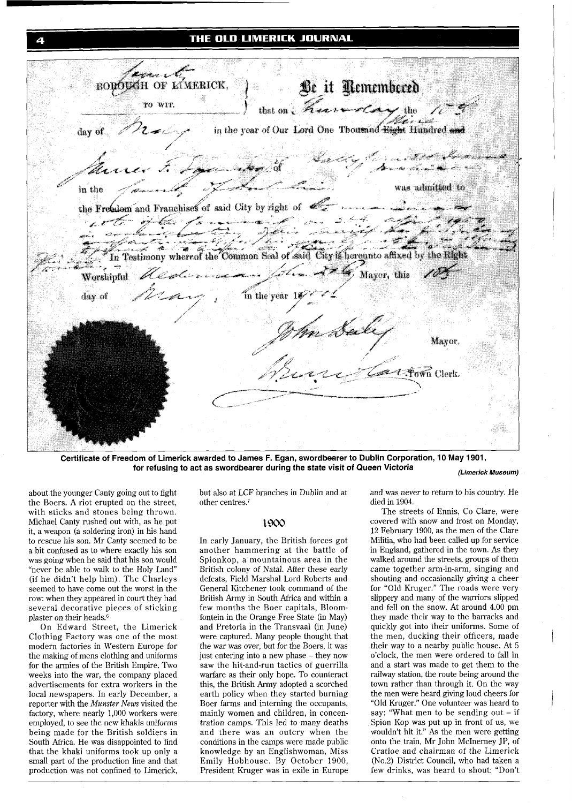# THE OLD LIMERICK JOURNAL



**Certificate of Freedom of Limerick awarded to James F. Egan, swordbearer to Dublin Corporation, 10 May 1901, for refusing to act as swordbearer during the state visit of Queen Victoria (Limerick Museum)** 

about the younger Canty going out to fight the Boers. A riot erupted on the street, with sticks and stones being thrown. Michael Canty rushed out with, as he put it, a weapon (a soldering iron) in his hand to rescue his son. Mr Canty seemed to be a bit confused as to where exactly his son was going when he said that his son would "never be able to walk to the Holy Land" (if he didn't help him). The Charleys seemed to have come out the worst in the row: when they appeared in court they had several decorative pieces of sticking plaster on their heads.<sup>6</sup>

On Edward Street, the Limerick Clothing Factory was one of the most modern factories in Western Europe for the making of mens clothing and uniforms for the armies of the British Empire. Two weeks into the war, the company placed advertisements for extra workers in the local newspapers. In early December, a reporter with the Munster *News* visited the factory, where nearly 1,000 workers were employed, to see the new khakis uniforms being made for the British soldiers in South Africa. He was disappointed to find that the khaki uniforms took up only a small part of the production line and that production was not confined to Limerick,

but also at LCF branches in Dublin and at other centres.<sup>7</sup>

# 1900

In early January, the British forces got another hammering at the battle of Spionkop, a mountainous area in the British colony of Natal. After these early defeats, Field Marshal Lord Roberts and General Kitchener took command of the British Army in South Africa and within a few months the Boer capitals, Bloomfontein in the Orange Free State (in May) and Pretoria in the Transvaal (in June) were captured. Many people thought that the war was over, but for the Boers, it was just entering into a new phase - they now saw the hit-and-run tactics of guerrilla warfare as their only hope. To counteract this, the British Army adopted a scorched earth policy when they started burning Boer farms and interning the occupants, mainly women and children, in concentration camps. This led to many deaths and there was an outcry when the conditions in the camps were made public knowledge by an Englishwoman, Miss Emily Hobhouse. By October 1900, President Kruger was in exile in Europe and was never to return to his country. He died in 1904.

The streets of Ennis, Co Clare, were covered with snow and frost on Monday, 12 February 1900, as the men of the Clare Militia, who had been called up for service in England, gathered in the town. As they walked around the streets, groups of them came together arm-in-arm, singing and shouting and occasionally giving a cheer for "Old Kruger." The roads were very slippery and many of the warriors slipped and fell on the snow. At around 4.00 pm they made their way to the barracks and quickly got into their uniforms. Some of the men, ducking their officers, made their way to a nearby public house. At 5 o'clock, the men were ordered to fall in and a start was made to get them to the railway station, the route being around the town rather than through it. On the way the men were heard giving loud cheers for "Old Kruger." One volunteer was heard to say: "What men to be sending out  $-$  if Spion Kop was put up in front of us, we wouldn't hit it." As the men were getting onto the train, Mr John McInerney JP, of Cratloe and chairman of the Limerick (No.2) District Council, who had taken a few drinks, was heard to shout: "Don't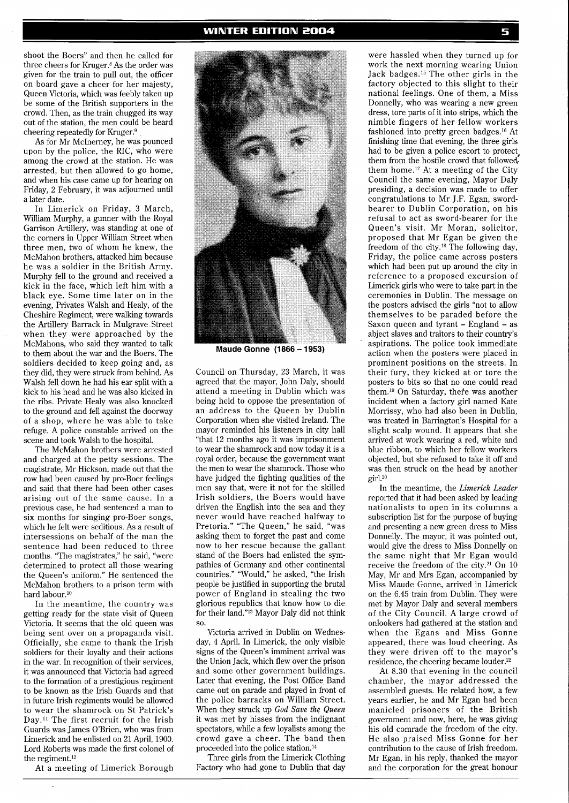shoot the Boers" and then he called for three cheers for Kruger.8 As the order was given for the train to pull out, the officer on board gave a cheer for her majesty, Queen Victoria, which was feebly taken up be some of the British supporters in the crowd. Then, as the train chugged its way out of the station, the men could be heard cheering repeatedly for Kruger. $9$ 

As for Mr McInerney, he was pounced upon by the police, the RIC, who were among the crowd at the station. He was arrested, but then allowed to go home, and when his case came up for hearing on Friday, 2 February, it was adjourned until a later date.

In Limerick on Friday, 3 March, William Murphy, a gunner with the Royal Garrison Artillery, was standing at one of the corners in Upper William Street when three men, two of whom he knew, the McMahon brothers, attacked him because he was a soldier in the British Army. Murphy fell to the ground and received a kick in the face, which left him with a black eye. Some time later on in the evening, Privates Walsh and Healy, of the Cheshire Regiment, were walking towards the Artillery Barrack in Mulgrave Street when they were approached by the McMahons, who said they wanted to talk to them about the war and the Boers. The soldiers decided to keep going and, as they did, they were struck from behind. As Walsh fell down he had his ear split with a kick to his head and he was also kicked in the ribs. Private Healy was also knocked to the ground and fell against the doorway of a shop, where he was able to take refuge. A police constable arrived on the scene and took Walsh to the hospital.

The McMahon brothers were arrested and charged at the petty sessions. The magistrate, Mr Hickson, made out that the row had been caused by pro-Boer feelings and said that there had been other cases arising out of the same cause. In a previous case, he had sentenced a man to six months for singing pro-Boer songs, which he felt were seditious. As a result of intersessions on behalf of the man the sentence had been reduced to three months. "The magistrates," he said, "were determined to protect all those wearing the Queen's uniform." He sentenced the McMahon brothers to a prison term with hard labour.<sup>10</sup>

In the meantime, the country was getting ready for the state visit of Queen Victoria. It seems that the old queen was being sent over on a propaganda visit. Officially, she came to thank the Irish soldiers for their loyalty and their actions in the war. In recognition of their services, it was announced that Victoria had agreed to the formation of a prestigious regiment to be known as the Irish Guards and that in future Irish regiments would be allowed to wear the shamrock on St Patrick's Day.<sup>11</sup> The first recruit for the Irish Guards was James O'Brien, who was from Limerick and he enlisted on 21 April, 1900. Lord Roberts was made the first colonel of the regiment.12

At a meeting of Limerick Borough



Maude Gonne (1866 - 1953)

Council on Thursday, 23 March, it was agreed that the mayor, John Daly, should attend a meeting in Dublin which was being held to oppose the presentation of an address to the Queen by Dublin Corporation when she visited Ireland. The mayor reminded his listeners in city hall "that 12 months ago it was imprisonment to wear the shamrock and now today it is a royal order, because the government want the men to wear the shamrock. Those who have judged the fighting qualities of the men say that, were it not for the skilled Irish soldiers, the Boers would have driven the English into the sea and they never would have reached halfway to Pretoria." "The Queen," he said, "was asking them to forget the past and come now to her rescue because the gallant stand of the Boers had enlisted the sympathies of Germany and other continental countries." "Would," he asked, "the Irish people be justified in supporting the brutal power of England in stealing the two glorious republics that know how to die for their land."l3 Mayor Daly did not think SO.

Victoria arrived in Dublin on Wednesday, 4 April. In Limerick, the only visible signs of the Queen's imminent arrival was the Union Jack, which flew over the prison and some other government buildings. Later that evening, the Post Office Band came out on parade and played in front of the police barracks on William Street. When they struck up *God Save the Queen*  it was met by hisses from the indignant spectators, while a few loyalists among the crowd gave a cheer. The band then proceeded into the police station.14

Three girls from the Limerick Clothing Factory who had gone to Dublin that day

were hassled when they turned up for work the next morning wearing Union Jack badges.15 The other girls in the factory objected to this slight to their national feelings. One of them, a Miss Donnelly, who was wearing a new green dress, tore parts of it into strips, which the nimble fingers of her fellow workers fashioned into pretty green badges.16 At finishing time that evening, the three girls had to be given a police escort to protect\* them from the hostile crowd that followed, them home.17 At a meeting of the City Council the same evening, Mayor Daly presiding, a decision was made to offer congratulations to Mr J.F. Egan, swordbearer to Dublin Corporation, on his refusal to act as sword-bearer for the Queen's visit. Mr Moran, solicitor, proposed that Mr Egan be given the freedom of the city.18 The following day, Friday, the police came across posters which had been put up around the city in reference to a proposed excursion of Limerick girls who were to take part in the ceremonies in Dublin. The message on the posters advised the girls "not to allow themselves to be paraded before the Saxon queen and tyrant - England - as abject slaves and traitors to their country's aspirations. The police took immediate action when the posters were placed in prominent positions on the streets. In their fury, they kicked at or tore the posters to bits so that no one could read them.19 On Saturday, thefe was another incident when a factory girl named Kate Morrissy, who had also been in Dublin, was treated in Barrington's Hospital for a slight scalp wound. It appears that she arrived at work wearing a red, white and blue ribbon, to which her fellow workers objected, but she refused to take it off and was then struck on the head by another girl.<sup>20</sup>

In the meantime, the *Limerick Leader*  reported that it had been asked by leading nationalists to open in its columns a subscription list for the purpose of buying and presenting a new green dress to Miss Donnelly. The mayor, it was pointed out, would give the dress to Miss Donnelly on the same night that Mr Egan would receive the freedom of the city.<sup>21</sup> On 10 May, Mr and Mrs Egan, accompanied by Miss Maude Gonne, arrived in Limerick on the 6.45 train from Dublin. They were met by Mayor Daly and several members of the City Council. A large crowd of onlookers had gathered at the station and when the Egans and Miss Gonne appeared, there was loud cheering. As they were driven off to the mayor's residence, the cheering became louder.22

At 8.30 that evening in the council chamber, the mayor addressed the assembled guests. He related how, a few years earlier, he and Mr Egan had been manicled prisoners of the British government and now, here, he was giving his old comrade the freedom of the city. He also praised Miss Gonne for her contribution to the cause of Irish freedom. Mr Egan, in his reply, thanked the mayor and the corporation for the great honour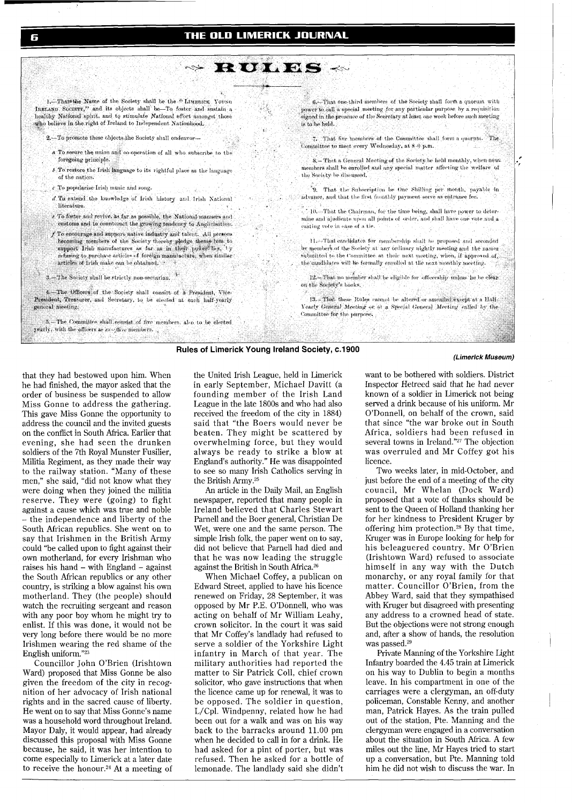# THE OLD LIMERICK JOURNAL

š8

RULES ~

1. That the Name of the Society shall be the "LIMERICK YOUNG IRELAND SOCIETY," and its objects shall be-To foster and sustain a healthy National spirit, and to stimulate National effort amongst those who believe in the right of Ireland to Independent Nationhood.

- 2. To promote these chiects the Society shall endeavor-
- a To secure the union and co-operation of all who subscribe to the foregoing principle.

المحجب

- $\delta$  To restore the Irish language to its rightful place as the language of the nation.
- $\epsilon$  To popularise Irish music and song.
- d To extend the knowledge of Irish history and Irish National literature
- t To foster and revive, as far as possible, the National manners and customs and to counteract the growing tendency to Anglicisation.
- f To encourage and support native industry and talent. All persons becoming members of the Society thereby pledge thems-lves to support Irish manufactures as far as in their power lies, 'ty refusing to purchase articles of foreign manufacture, when similar articles of Irish make can be obtained.
- 3.—The Society shall be strictly non-sectarian.  $\mathbb{R}^+$

The Officers of the Society shall consist of a President, Vice-President, Treasurer, and Secretary, to be elected at each half-yearly general meeting.

5.-The Committee shall consist of five members, also to be elected yearly, with the officers as  $\epsilon x$  -  $\hbar\omega c$  members. .

6.- That one third members of the Society shall form a quorum with power to call a special meeting for any particular purpose by a requisition signed in the presence of the Secretary at least, one week before such meeting is to be held.

7. That five members of the Committee shall form a quorum. The Committee to meet every Wednesday, at 8-0 p.m.

8. - That a General Meeting of the Society be held monthly, when newmembers shall be enrolled and any special matter affecting the welfare of the Society be discussed.

9. That the Subscription be One Shilling per month, payable in advance, and that the first monthly payment serve as entrance fee.

> $\sim 10$  . That the Chairman, for the time being, shall have power to determine and ajudicate upon all points of order, and shall have one vote and a casting vote in case of a tie.

 $\Pi$  .<br> That candidates for membership shall be proposed and seconded by members of the Society at any ordinary nightly meeting and the names submitted to the Committee at their next meeting, when, if approved of, the condidates will be formally enrolled at the next monthly meeting.

12.-That no member shall be eligible for officership unless he be clear on the Society's books.

13. That these Rules cannot be altered or amended except at a Half-Yearly General Meeting or at a Special General Meeting called by the Committee for the purpose.

# **Rules of Limerick Young Ireland Society, c.1900**

ΰR

#### **(Limerick Museum)**

that they had bestowed upon him. When he had finished, the mayor asked that the order of business be suspended to allow Miss Gonne to address the gathering. This gave Miss Gonne the opportunity to address the council and the invited guests on the conflict in South Africa. Earlier that evening, she had seen the drunken soldiers of the 7th Royal Munster Fusilier, Militia Regiment, as they made their way to the railway station. "Many of these men," she said, "did not know what they were doing when they joined the militia reserve. They were (going) to fight against a cause which was true and noble - the independence and liberty of the South African republics. She went on to say that Irishmen in the British Army could "be called upon to fight against their own motherland, for every Irishman who raises his hand - with England - against the South African republics or any other country, is striking a blow against his own motherland. They (the people) should watch the recruiting sergeant and reason with any poor boy whom he might try to enlist. If this was done, it would not be very long before there would be no more Irishmen wearing the red shame of the English uniform."23

Councillor John O'Brien (Irishtown Ward) proposed that Miss Gonne be also given the freedom of the city in recognition of her advocacy of Irish national rights and in the sacred cause of liberty. He went on to say that Miss Gonne's name was a household word throughout Ireland. Mayor Daly, it would appear, had already discussed this proposal with Miss Gonne because, he said, it was her intention to come especially to Limerick at a later date to receive the honour.<sup>24</sup> At a meeting of

the United Irish League, held in Limerick in early September, Michael Davitt (a founding member of the Irish Land League in the late 1800s and who had also received the freedom of the city in 1884) said that "the Boers would never be beaten. They might be scattered by overwhelming force, but they would always be ready to strike a blow at England's authority." He was disappointed to see so many Irish Catholics serving in the British Army.25

An article in the Daily Mail, an English newspaper, reported that many people in Ireland believed that Charles Stewart Parnell and the Boer general, Christian De Wet, were one and the same person. The simple Irish folk, the paper went on to say, did not believe that Parnell had died and that he was now leading the struggle against the British in South Africa.26

When Michael Coffey, a publican on Edward Street, applied to have his licence renewed on Friday, 28 September, it was opposed by Mr P.E. O'Donnell, who was acting on behalf of Mr William Leahy, crown solicitor. In the court it was said that Mr Coffey's landlady had refused to serve a soldier of the Yorkshire Light infantry in March of that year. The military authorities had reported the matter to Sir Patrick Coll, chief crown solicitor, who gave instructions that when the licence came up for renewal, it was to be opposed. The soldier in question, L/Cpl. Windpenny, related how he had been out for a walk and was on his way back to the barracks around 11.00 pm when he decided to call in for a drink. He had asked for a pint of porter, but was refused. Then he asked for a bottle of lemonade. The landlady said she didn't

want to be bothered with soldiers. District Inspector Hetreed said that he had never known of a soldier in Limerick not being served a drink because of his uniform. Mr O'Donnell, on behalf of the crown, said that since "the war broke out in South Africa, soldiers had been refused in several towns in Ireland."27 The objection was overruled and Mr Coffey got his licence.

Two weeks later, in mid-October, and just before the end of a meeting of the city council, Mr Whelan (Dock Ward) proposed that a vote of thanks should be sent to the Queen of Holland thanking her for her kindness to President Kruger by offering him protection.28 By that time, Kruger was in Europe looking for help for his beleaguered country. Mr O'Brien (Irishtown Ward) refused to associate himself in any way with the Dutch monarchy, or any royal family for that matter. Councillor O'Brien, from the Abbey Ward, said that they sympathised with Kruger but disagreed with presenting any address to a crowned head of state. But the objections were not strong enough and, after a show of hands, the resolution was passed.29

Private Manning of the Yorkshire Light Infantry boarded the 4.45 train at Limerick on his way to Dublin to begin a months leave. In his compartment in one of the carriages were a clergyman, an off-duty policeman, Constable Kenny, and another man, Patrick Hayes. As the train pulled out of the station, Pte. Manning and the clergyman were engaged in a conversation about the situation in South Africa. A few miles out the line, Mr Hayes tried to start up a conversation, but Pte. Manning told him he did not wish to discuss the war. In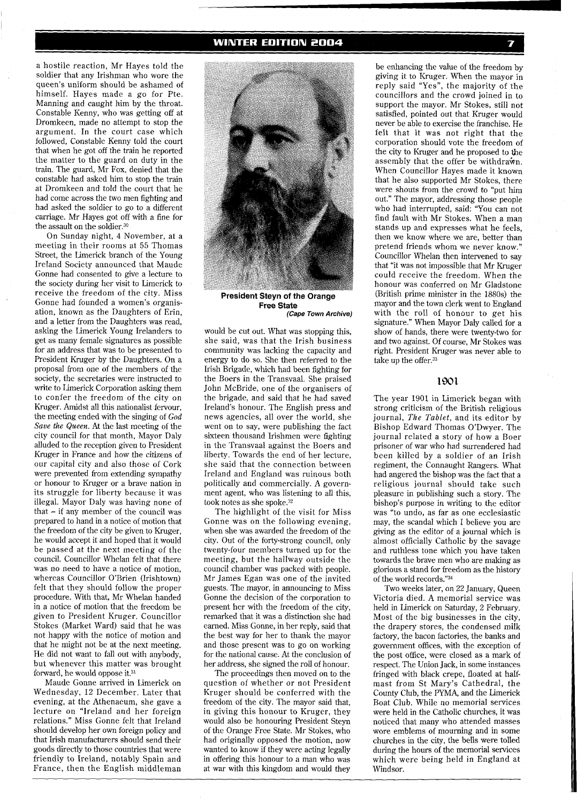a hostile reaction, Mr Hayes told the soldier that any Irishman who wore the queen's uniform should be ashamed of himself. Hayes made a go for Pte. Manning and caught him by the throat. Constable Kenny, who was getting off at Dromkeen, made no attempt to stop the argument. In the court case which followed, Constable Kenny told the court that when he got off the train he reported the matter to the guard on duty in the train. The guard, Mr Fox, denied that the constable had asked him to stop the train at Dromkeen and told the court that he had come across the two men fighting and had asked the soldier to go to a different carriage. Mr Hayes got off with a fine for the assault on the soldier.30

On Sunday night, 4 November, at a meeting in their rooms at 55 Thomas Street, the Limerick branch of the Young Ireland Society announced that Maude Gonne had consented to give a lecture to the society during her visit to Limerick to receive the freedom of the city. Miss Gonne had founded a women's organisation, known as the Daughters of Erin, and a letter from the Daughters was read, asking the Limerick Young Irelanders to get as many female signatures as possible for an address that was to be presented to President Kruger by the Daughters. On a proposal from one of the members of the society, the secretaries were instructed to write to Limerick Corporation asking them to confer the freedom of the city on Kruger. Amidst all this nationalist fervour, the meeting ended with the singing of God *Save the* Queen. At the last meeting of the city council for that month, Mayor Daly alluded to the reception given to President Kruger in France and how the citizens of our capital city and also those of Cork were prevented from extending sympathy or honour to Kruger or a brave nation in its struggle for liberty because it was illegal. Mayor Daly was having none of that - if any member of the council was prepared to hand in a notice of motion that the freedom of the city be given to Kruger, he would accept it and hoped that it would be passed at the next meeting of the council. Councillor Whelan felt that there was no need to have a notice of motion, whereas Councillor O'Brien (Irishtown) felt that they should follow the proper procedure. With that, Mr Whelan handed in a notice of motion that the freedom be given to President Kruger. Councillor Stokes (Market Ward) said that he was not happy with the notice of motion and that he might not be at the next meeting. He did not want to fall out with anybody, but whenever this matter was brought forward, he would oppose it.31

Maude Gonne arrived in Limerick on Wednesday, 12 December. Later that evening, at the Athenaeum, she gave a lecture on "Ireland and her foreign relations." Miss Gonne felt that Ireland should develop her own foreign policy and that Irish manufacturers should send their goods directly to those countries that were friendly to Ireland, notably Spain and France, then the English middleman



**President Steyn of the Orange Free State (Cape Town Archive)** 

would be cut out. What was stopping this, she said, was that the Irish business community was lacking the capacity and energy to do so. She then referred to the Irish Brigade, which had been fighting for the Boers in the Transvaal. She praised John McBride, one of the organisers of the brigade, and said that he had saved Ireland's honour. The English press and news agencies, all over the world, she went on to say, were publishing the fact sixteen thousand Irishmen were fighting in the Transvaal against the Boers and liberty. Towards the end of her lecture, she said that the connection between Ireland and England was ruinous both politically and commercially. A government agent, who was listening to all this, took notes as she spoke.32

The highlight of the visit for Miss Gonne was on the following evening, when she was awarded the freedom of the city. Out of the forty-strong council, only twenty-four members turned up for the meeting, but the hallway outside the council chamber was packed with people. Mr James Egan was one of the invited guests. The mayor, in announcing to Miss Gonne the decision of the corporation to present her with the freedom of the city, remarked that it was a distinction she had earned. Miss Gonne, in her reply, said that the best way for her to thank the mayor and those present was to go on working for the national cause. At the conclusion of her address, she signed the roll of honour.

The proceedings then moved on to the question of whether or not President Kruger should be conferred with the freedom of the city. The mayor said that, in giving this honour to Kruger, they would also be honouring President Steyn of the Orange Free State. Mr Stokes, who had originally opposed the motion, now wanted to know if they were acting legally in offering this honour to a man who was at war with this kingdom and would they

be enhancing the value of the freedom by giving it to Kruger. When the mayor in reply said "Yes", the majority of the councillors and the crowd joined in to support the mayor. Mr Stokes, still not satisfied, pointed out that Kruger would never be able to exercise the franchise. He felt that it was not right that the corporation should vote the freedom of the city to Kruger and he proposed to the assembly that the offer be withdra $\mathbf{\hat{w}}$ n. When Councillor Hayes made it known that he also supported Mr Stokes, there were shouts from the crowd to "put him out." The mayor, addressing those people who had interrupted, said: "You can not find fault with Mr Stokes. When a man stands up and expresses what he feels, then we know where we are, better than pretend friends whom we never know." Councillor Whelan then intervened to say that "it was not impossible that Mr Kruger could receive the freedom. When the honour was conferred on Mr Gladstone (British prime minister in the 1880s) the mayor and the town clerk went to England with the roll of honour to get his signature." When Mayor Daly called for a show of hands, there were twenty-two for and two against. Of course, Mr Stokes was right. President Kruger was never able to take up the offer.<sup>33</sup>

# 1901

The year 1901 in Limerick began with strong criticism of the British religious journal, *The Tablet,* and its editor by Bishop Edward Thomas O'Dwyer. The journal related a story of how a Boer prisoner of war who had surrendered had been killed by a soldier of an Irish regiment, the Connaught Rangers. What had angered the bishop was the fact that a religious journal should take such pleasure in publishing such a story. The bishop's purpose in writing to the editor was "to undo, as far as one ecclesiastic may, the scandal which I believe you are giving as the editor of a journal which is almost officially Catholic by the savage and ruthless tone which you have taken towards the brave men who are making as glorious a stand for freedom as the history of the world records."34

Two weeks later, on 22 January, Queen Victoria died. A memorial service was held in Limerick on Saturday, 2 February. Most of the big businesses in the city, the drapery stores, the condensed milk factory, the bacon factories, the banks and government offices, with the exception of the post office, were closed as a mark of respect. The Union Jack, in some instances fringed with black crepe, floated at halfmast from St Mary's Cathedral, the County Club, the PYMA, and the Limerick Boat Club. While no memorial services were held in the Catholic churches, it was noticed that many who attended masses wore emblems of mourning and in some churches in the city, the bells were tolled during the hours of the memorial services which were being held in England at Windsor.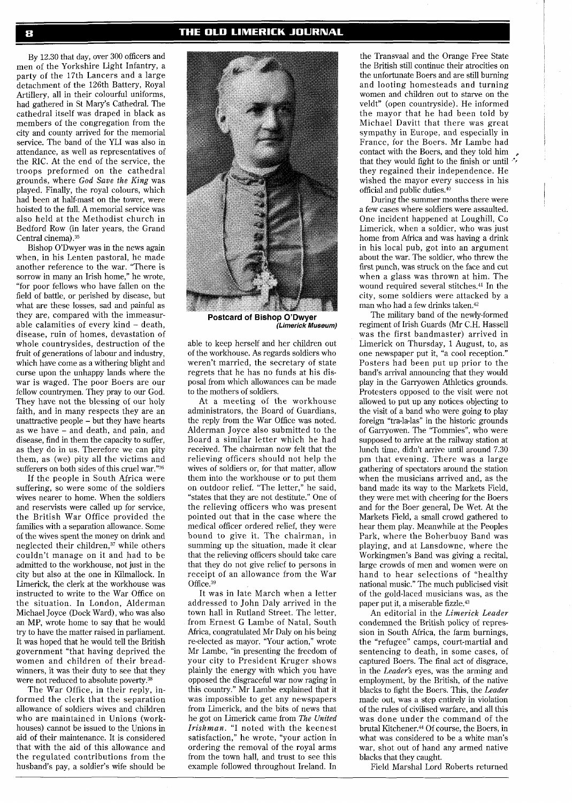By 12.30 that day, over 300 officers and men of the Yorkshire Light Infantry, a party of the 17th Lancers and a large detachment of the 126th Battery, Royal Artillery, all in their colourful uniforms, had gathered in St Mary's Cathedral. The cathedral itself was draped in black as members of the congregation from the city and county arrived for the memorial service. The band of the YLI was also in attendance, as well as representatives of the RIC. At the end of the service, the troops preformed on the cathedral grounds, where *God Save the King* was played. Finally, the royal colours, which had been at half-mast on the tower, were hoisted to the full. A memorial service was also held at the Methodist church in Bedford Row (in later years, the Grand Central cinema) .35

Bishop O'Dwyer was in the news again when, in his Lenten pastoral, he made another reference to the war. "There is sorrow in many an Irish home," he wrote, "for poor fellows who have fallen on the field of battle, or perished by disease, but what are these losses, sad and painful as they are, compared with the immeasurable calamities of every kind - death. disease, ruin of homes, devastation of whole countrysides, destruction of the fruit of generations of labour and industry, which have come as a withering blight and curse upon the unhappy lands where the war is waged. The poor Boers are our fellow countrymen. They pray to our God. They have not the blessing of our holy faith, and in many respects they are an unattractive people - but they have hearts as we have - and death, and pain, and disease, find in them the capacity to suffer, as they do in us. Therefore we can pity them, as (we) pity all the victims and sufferers on both sides of this cruel war."36

If the people in South Africa were suffering, so were some of the soldiers wives nearer to home. When the soldiers and reservists were called up for service, the British War Office provided the families with a separation allowance. Some of the wives spent the money on drink and neglected their children,<sup>37</sup> while others couldn't manage on it and had to be admitted to the workhouse, not just in the city but also at the one in Kilmallock. In Limerick, the clerk at the workhouse was instructed to write to the War Office on the situation. In London, Alderman Michael Joyce (Dock Ward), who was also an MP, wrote home to say that he would try to have the matter raised in parliament. It was hoped that he would tell the British government "that having deprived the women and children of their breadwinners, it was their duty to see that they were not reduced to absolute poverty.38

The War Office, in their reply, informed the clerk that the separation allowance of soldiers wives and children who are maintained in Unions (workhouses) cannot be issued to the Unions in aid of their maintenance. It is considered that with the aid of this allowance and the regulated contributions from the husband's pay, a soldier's wife should be



**Postcard of Bishop O'Dwyer (Limerick Museum)** 

able to keep herself and her children out of the workhouse. As regards soldiers who weren't married, the secretary of state regrets that he has no funds at his disposal from which allowances can be made to the mothers of soldiers.

At a meeting of the workhouse administrators, the Board of Guardians, the reply from the War Office was noted. Alderman Joyce also submitted to the Board a similar letter which he had received. The chairman now felt that the relieving officers should not help the wives of soldiers or, for that matter, allow them into the workhouse or to put them on outdoor relief. "The letter," he said, "states that they are not destitute." One of the relieving officers who was present pointed out that in the case where the medical officer ordered relief, they were bound to give it. The chairman, in summing up the situation, made it clear that the relieving officers should take care that they do not give relief to persons in receipt of an allowance from the War office.39

It was in late March when a letter addressed to John Daly arrived in the town hall in Rutland Street. The letter, from Ernest G Lambe of Natal, South Africa, congratulated Mr Daly on his being re-elected as mayor. "Your action," wrote Mr Lambe, "in presenting the freedom of your city to President Kruger shows plainly the energy with which you have opposed the disgraceful war now raging in this country." Mr Lambe explained that it was impossible to get any newspapers from Limerick, and the bits of news that he got on Limerick came from *The United Irishman.* "I noted with the keenest satisfaction," he wrote, "your action in ordering the removal of the royal arms from the town hall, and trust to see this example followed throughout Ireland. In

the Transvaal and the Orange Free State the British still continue their atrocities on the unfortunate Boers and are still burning and looting homesteads and turning women and children out to starve on the veldt" (open countryside). He informed the mayor that he had been told by Michael Davitt that there was great sympathy in Europe, and especially in France, for the Boers. Mr Lambe had contact with the Boers, and they told him that they would fight to the finish or until  $\sqrt{\frac{1}{\pi}}$  they regained their independence. He wished the mayor every success in his official and public duties.4o

During the summer months there were a few cases where soldiers were assaulted. One incident happened at Loughill, Co. Limerick, when a soldier, who was just home from Africa and was having a drink in his local pub, got into an argument about the war. The soldier, who threw the first punch, was struck on the face and cut when a glass was thrown at him. The wound required several stitches.41 In the city, some soldiers were attacked by a man who had a few drinks taken.42

The military band of the newly-formed regiment of Irish Guards (Mr C.H. Hassell was the first bandmaster) arrived in Limerick on Thursday, 1 August, to, as one newspaper put it, "a cool reception." Posters had been put up prior to the band's arrival announcing that they would play in the Garryowen Athletics grounds. Protesters opposed to the visit were not allowed to put up any notices objecting to the visit of a band who were going to play foreign "tra-la-las" in the historic grounds of Garryowen. The "Tommies", who were supposed to arrive at the railway station at lunch time, didn't arrive until around 7.30 pm that evening. There was a large gathering of spectators around the station when the musicians arrived and, as the band made its way to the Markets Field, they were met with cheering for the Boers and for the Boer general, De Wet. At the Markets Field, a small crowd gathered to hear them play. Meanwhile at the Peoples Park, where the Boherbuoy Band was playing, and at Lansdowne, where the Workingmen's Band was giving a recital, large crowds of men and women were on hand to hear selections of "healthy national music." The much publicised visit of the gold-laced musicians was, as the paper put it, a miserable fizzle.43

An editorial in the *Limerick Leader*  condemned the British policy of repression in South Africa, the farm burnings, the "refugee" camps, court-martial and sentencing to death, in some cases, of captured Boers. The final act of disgrace, in the *Leader's* eyes, was the arming and employment, by the British, of the native blacks to fight the Boers. This, the *Leader*  made out, was a step entirely in violation of the rules of civilised warfare, and all this was done under the command of the brutal Kitchener.44 Of course, the Boers, in what was considered to be a white man's war, shot out of hand any armed native blacks that they caught.

Field Marshal Lord Roberts returned